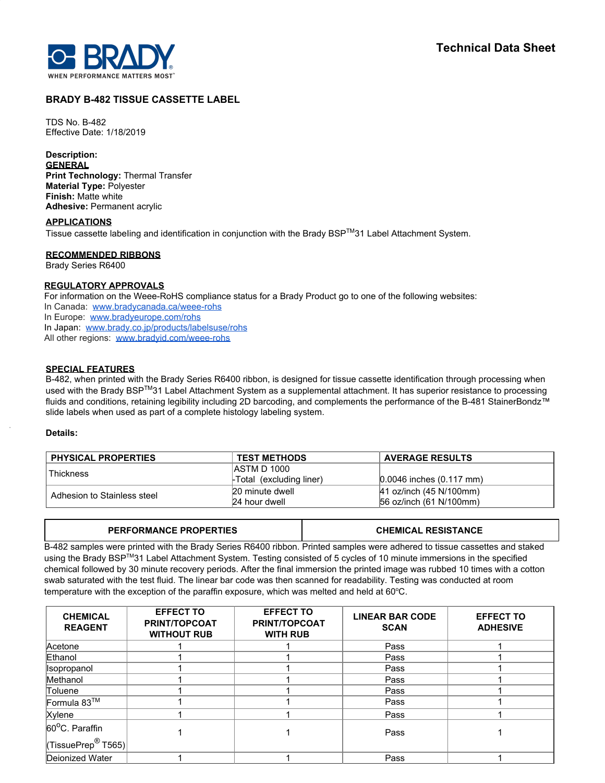

# **BRADY B-482 TISSUE CASSETTE LABEL**

TDS No. B-482 Effective Date: 1/18/2019

# **Description:**

**GENERAL Print Technology:** Thermal Transfer **Material Type:** Polyester **Finish:** Matte white **Adhesive:** Permanent acrylic

#### **APPLICATIONS**

Tissue cassette labeling and identification in conjunction with the Brady BSP™31 Label Attachment System.

## **RECOMMENDED RIBBONS**

Brady Series R6400

# **REGULATORY APPROVALS**

For information on the Weee-RoHS compliance status for a Brady Product go to one of the following websites:

- In Canada: [www.bradycanada.ca/weee-rohs](http://www.bradycanada.ca/weee-rohs)
- In Europe: [www.bradyeurope.com/rohs](http://www.bradyeurope.com/rohs)

In Japan: www.[brady.co.jp/products/labelsuse/rohs](https://brady.co.jp/products/labelsuse/rohs)

All other regions: [www.bradyid.com/weee-rohs](http://www.bradyid.com/weee-rohs)

## **SPECIAL FEATURES**

B-482, when printed with the Brady Series R6400 ribbon, is designed for tissue cassette identification through processing when used with the Brady BSP<sup>TM</sup>31 Label Attachment System as a supplemental attachment. It has superior resistance to processing fluids and conditions, retaining legibility including 2D barcoding, and complements the performance of the B-481 StainerBondz™ slide labels when used as part of a complete histology labeling system.

#### **Details:**

| <b>PHYSICAL PROPERTIES</b>  | <b>TEST METHODS</b>     | <b>AVERAGE RESULTS</b>       |
|-----------------------------|-------------------------|------------------------------|
| Thickness                   | <b>IASTM D 1000</b>     |                              |
|                             | Fotal (excluding liner) | $0.0046$ inches $(0.117$ mm) |
| Adhesion to Stainless steel | 20 minute dwell         | $ 41$ oz/inch (45 N/100mm)   |
|                             | 24 hour dwell           | 56 oz/inch (61 N/100mm)      |

| <b>PERFORMANCE PROPERTIES</b>                                                                                              | <b>CHEMICAL RESISTANCE</b> |
|----------------------------------------------------------------------------------------------------------------------------|----------------------------|
| B-482 samples were printed with the Brady Series R6400 ribbon. Printed samples were adhered to tissue cassettes and staked |                            |
| using the Brady BSP™31 Label Attachment System. Testing consisted of 5 cycles of 10 minute immersions in the specified     |                            |

using the Brady BSP™31 Label Attachment System. Testing consisted of 5 cycles of 10 minute immersions in the specified chemical followed by 30 minute recovery periods. After the final immersion the printed image was rubbed 10 times with a cotton swab saturated with the test fluid. The linear bar code was then scanned for readability. Testing was conducted at room temperature with the exception of the paraffin exposure, which was melted and held at  $60^{\circ}$ C.

| <b>CHEMICAL</b><br><b>REAGENT</b> | <b>EFFECT TO</b><br><b>PRINT/TOPCOAT</b><br><b>WITHOUT RUB</b> | <b>EFFECT TO</b><br><b>PRINT/TOPCOAT</b><br><b>WITH RUB</b> | <b>LINEAR BAR CODE</b><br><b>SCAN</b> | <b>EFFECT TO</b><br><b>ADHESIVE</b> |
|-----------------------------------|----------------------------------------------------------------|-------------------------------------------------------------|---------------------------------------|-------------------------------------|
| Acetone                           |                                                                |                                                             | Pass                                  |                                     |
| Ethanol                           |                                                                |                                                             | Pass                                  |                                     |
| Isopropanol                       |                                                                |                                                             | Pass                                  |                                     |
| Methanol                          |                                                                |                                                             | Pass                                  |                                     |
| Toluene                           |                                                                |                                                             | Pass                                  |                                     |
| Formula 83™                       |                                                                |                                                             | Pass                                  |                                     |
| Xylene                            |                                                                |                                                             | Pass                                  |                                     |
| 60°C. Paraffin                    |                                                                |                                                             | Pass                                  |                                     |
| $\sqrt{(TissuePrep^@T565)}$       |                                                                |                                                             |                                       |                                     |
| Deionized Water                   |                                                                |                                                             | Pass                                  |                                     |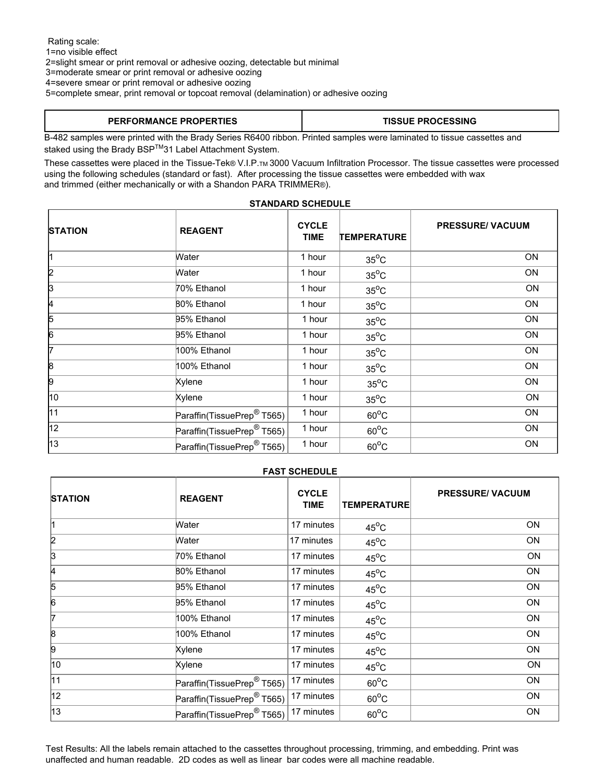Rating scale: 1=no visible effect 2=slight smear or print removal or adhesive oozing, detectable but minimal 3=moderate smear or print removal or adhesive oozing 4=severe smear or print removal or adhesive oozing 5=complete smear, print removal or topcoat removal (delamination) or adhesive oozing

# **PERFORMANCE PROPERTIES TISSUE PROCESSING**

B-482 samples were printed with the Brady Series R6400 ribbon. Printed samples were laminated to tissue cassettes and staked using the Brady BSP™31 Label Attachment System.

These cassettes were placed in the Tissue-Tek® V.I.P.TM 3000 Vacuum Infiltration Processor. The tissue cassettes were processed using the following schedules (standard or fast). After processing the tissue cassettes were embedded with wax and trimmed (either mechanically or with a Shandon PARA TRIMMER®).

# **STANDARD SCHEDULE**

| <b>STATION</b> | <b>REAGENT</b>                         | <b>CYCLE</b><br><b>TIME</b> | <b>TEMPERATURE</b> | <b>PRESSURE/ VACUUM</b> |
|----------------|----------------------------------------|-----------------------------|--------------------|-------------------------|
| 11             | Water                                  | 1 hour                      | $35^{\circ}$ C     | <b>ON</b>               |
| 2              | Water                                  | 1 hour                      | $35^{\circ}$ C     | ON                      |
| 3              | 70% Ethanol                            | 1 hour                      | $35^{\circ}$ C     | ON                      |
| 4              | 80% Ethanol                            | 1 hour                      | $35^{\circ}$ C     | <b>ON</b>               |
| 5              | 95% Ethanol                            | 1 hour                      | $35^{\circ}$ C     | ON                      |
| 6              | 95% Ethanol                            | 1 hour                      | $35^{\circ}$ C     | ON                      |
| 7              | 100% Ethanol                           | 1 hour                      | $35^{\circ}$ C     | ON                      |
| 8              | 100% Ethanol                           | 1 hour                      | $35^{\circ}$ C     | ON                      |
| 9              | Xylene                                 | 1 hour                      | $35^{\circ}$ C     | <b>ON</b>               |
| 10             | Xylene                                 | 1 hour                      | $35^{\circ}$ C     | ON                      |
| 11             | Paraffin(TissuePrep <sup>®</sup> T565) | 1 hour                      | $60^{\circ}$ C     | ON                      |
| 12             | Paraffin(TissuePrep <sup>®</sup> T565) | 1 hour                      | $60^{\circ}$ C     | ON                      |
| 13             | Paraffin(TissuePrep <sup>®</sup> T565) | 1 hour                      | $60^{\circ}$ C     | ON                      |

#### **FAST SCHEDULE**

| <b>STATION</b> | <b>REAGENT</b>                         | <b>CYCLE</b><br><b>TIME</b> | <b>TEMPERATURE</b> | <b>PRESSURE/ VACUUM</b> |
|----------------|----------------------------------------|-----------------------------|--------------------|-------------------------|
| l1             | Water                                  | 17 minutes                  | $45^{\circ}$ C     | <b>ON</b>               |
| 2              | Water                                  | 17 minutes                  | $45^{\circ}$ C     | ON                      |
| þЗ             | 70% Ethanol                            | 17 minutes                  | $45^{\circ}$ C     | ON                      |
| 4              | <b>B0% Ethanol</b>                     | 17 minutes                  | $45^{\circ}$ C     | ON                      |
| 5              | 95% Ethanol                            | 17 minutes                  | $45^{\circ}$ C     | ON                      |
| 6              | 95% Ethanol                            | 17 minutes                  | $45^{\circ}$ C     | ON                      |
| 7              | 100% Ethanol                           | 17 minutes                  | $45^{\circ}$ C     | ON                      |
| 8              | 100% Ethanol                           | 17 minutes                  | $45^{\circ}$ C     | ON                      |
| 9              | Xylene                                 | 17 minutes                  | $45^{\circ}$ C     | ON                      |
| 10             | Xylene                                 | 17 minutes                  | $45^{\circ}$ C     | ON                      |
| 11             | Paraffin(TissuePrep <sup>®</sup> T565) | 17 minutes                  | $60^{\circ}$ C     | ON                      |
| 12             | Paraffin(TissuePrep <sup>®</sup> T565) | 17 minutes                  | $60^{\circ}$ C     | ON                      |
| 13             | Paraffin(TissuePrep <sup>®</sup> T565) | 17 minutes                  | $60^{\circ}$ C     | ON                      |

Test Results: All the labels remain attached to the cassettes throughout processing, trimming, and embedding. Print was unaffected and human readable. 2D codes as well as linear bar codes were all machine readable.